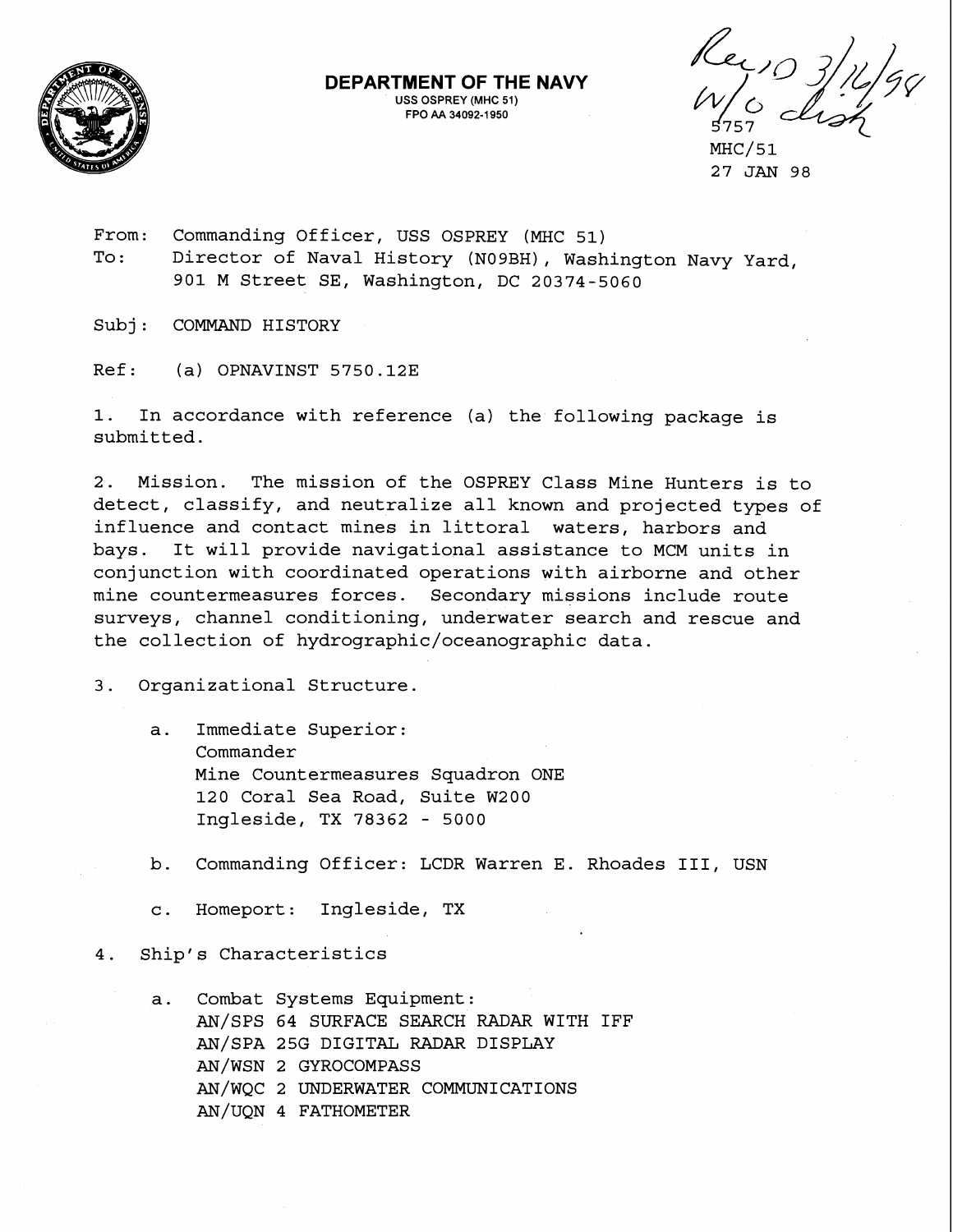

**DEPARTMENT OF THE NAVY USS OSPREY (MHC 51) FPO AA 34092-1 950** 

Ker, 0 3/16/9

MHC/51 27 JAN 98

From: Commanding Officer, USS OSPREY (MHC 51) To: Director of Naval History (N09BH), Washington Navy Yard, 901 M Street SE, Washington, DC 20374-5060

Subj: COMMAND HISTORY

Ref: (a) OPNAVINST 5750.12E

1. In accordance with reference (a) the following package is submitted.

2. Mission. The mission of the OSPREY Class Mine Hunters is to detect, classify, and neutralize all known and projected types of influence and contact mines in littoral waters, harbors and bays. It will provide navigational assistance to MCM units in conjunction with coordinated operations with airborne and other mine countermeasures forces. Secondary missions include route surveys, channel conditioning, underwater search and rescue and the collection of **hydrographic/oceanographic** data.

3. Organizational Structure.

- a. Immediate Superior: Commander Mine Countermeasures Squadron ONE 120 Coral Sea Road, Suite W200 Ingleside, TX 78362 - 5000
- b. Commanding Officer: LCDR Warren E. Rhoades 111, USN
- c. Homeport: Ingleside, TX
- 4. Ship's Characteristics
	- a. Combat Systems Equipment: AN/SPS 64 SURFACE SEARCH RADAR WITH IFF AN/SPA 25G DIGITAL RADAR DISPLAY AN/WSN 2 GYROCOMPASS AN/wQC 2 UNDERWATER COMMUNICATIONS AN/UQN 4 FATHOMETER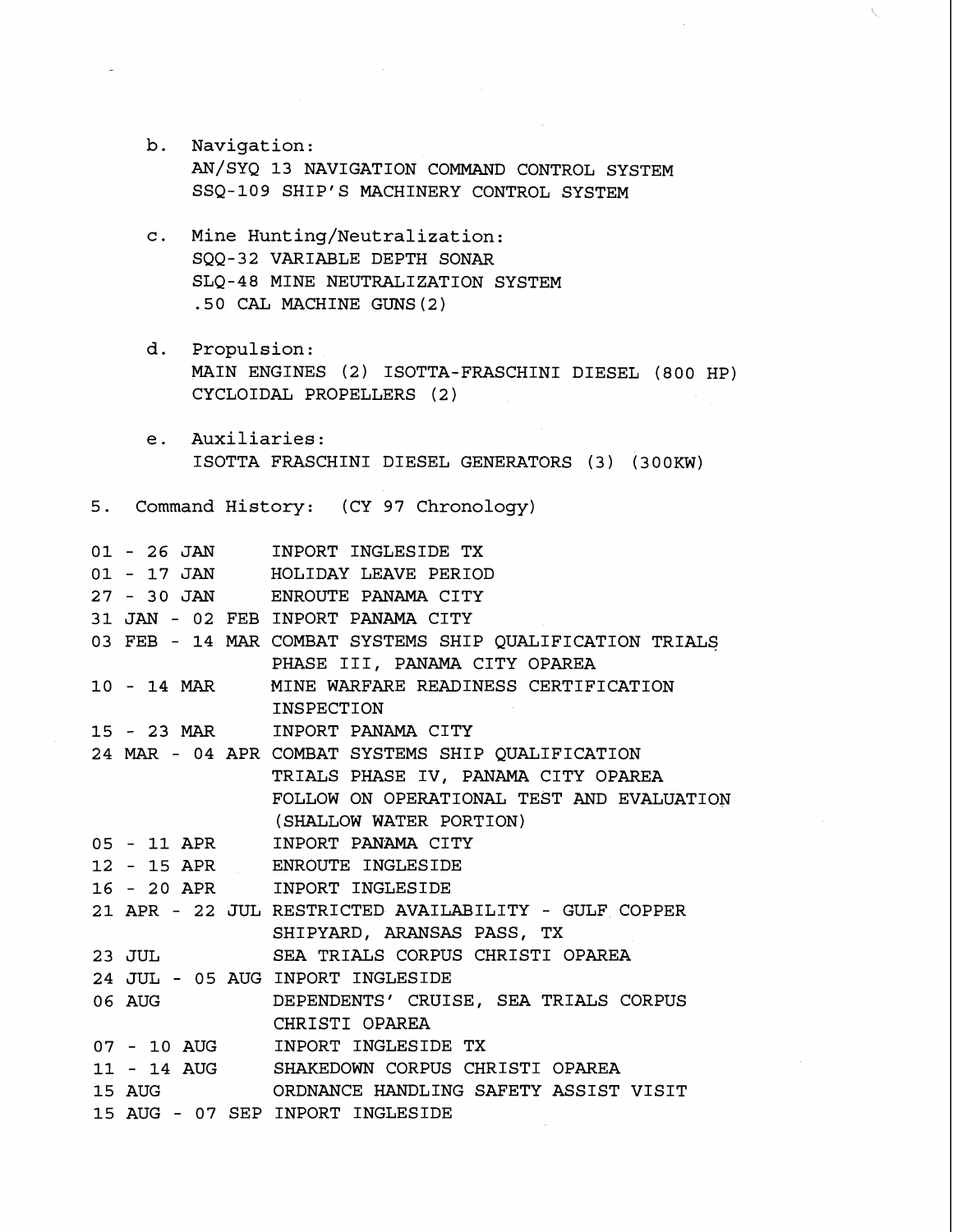b. Navigation: AN/SYQ 13 NAVIGATION COMMAND CONTROL SYSTEM SSQ-109 SHIP'S MACHINERY CONTROL SYSTEM

 $\sim$   $\sim$ 

- c. Mine Hunting/Neutralization: SQQ-32 VARIABLE DEPTH SONAR SLQ-48 MINE NEUTRALIZATION SYSTEM .50 CAL MACHINE GUNS (2)
- d. Propulsion: MAIN ENGINES (2) ISOTTA-FRASCHINI DIESEL (800 HP) CYCLOIDAL PROPELLERS (2 )
- e. Auxiliaries: ISOTTA FRASCHINI DIESEL GENERATORS (3) (300KW)
- 5. Command History: (CY 97 Chronology)

|                          | 01 - 26 JAN INPORT INGLESIDE TX                          |
|--------------------------|----------------------------------------------------------|
|                          | 01 - 17 JAN HOLIDAY LEAVE PERIOD                         |
|                          | 27 - 30 JAN ENROUTE PANAMA CITY                          |
|                          | 31 JAN - 02 FEB INPORT PANAMA CITY                       |
|                          | 03 FEB - 14 MAR COMBAT SYSTEMS SHIP QUALIFICATION TRIALS |
|                          | PHASE III, PANAMA CITY OPAREA                            |
|                          | 10 - 14 MAR MINE WARFARE READINESS CERTIFICATION         |
|                          | INSPECTION                                               |
|                          | 15 - 23 MAR INPORT PANAMA CITY                           |
|                          | 24 MAR - 04 APR COMBAT SYSTEMS SHIP QUALIFICATION        |
|                          | TRIALS PHASE IV, PANAMA CITY OPAREA                      |
|                          | FOLLOW ON OPERATIONAL TEST AND EVALUATION                |
|                          | (SHALLOW WATER PORTION)                                  |
|                          | 05 - 11 APR INPORT PANAMA CITY                           |
|                          | 12 - 15 APR ENROUTE INGLESIDE                            |
|                          | 16 - 20 APR INPORT INGLESIDE                             |
|                          | 21 APR - 22 JUL RESTRICTED AVAILABILITY - GULF COPPER    |
|                          | SHIPYARD, ARANSAS PASS, TX                               |
|                          |                                                          |
| $23$ JUL $\phantom{100}$ | SEA TRIALS CORPUS CHRISTI OPAREA                         |
|                          | 24 JUL - 05 AUG INPORT INGLESIDE                         |
| 06 AUG                   | DEPENDENTS' CRUISE, SEA TRIALS CORPUS                    |
|                          | CHRISTI OPAREA                                           |
|                          | 07 - 10 AUG INPORT INGLESIDE TX                          |
|                          | 11 - 14 AUG SHAKEDOWN CORPUS CHRISTI OPAREA              |
| 15 AUG                   | ORDNANCE HANDLING SAFETY ASSIST VISIT                    |